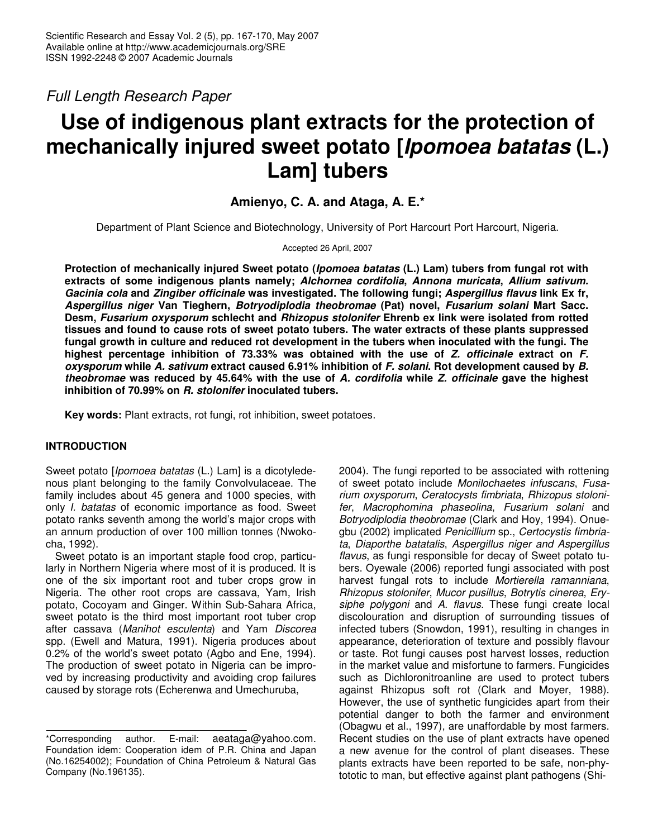*Full Length Research Paper*

# **Use of indigenous plant extracts for the protection of mechanically injured sweet potato [***Ipomoea batatas* **(L.) Lam] tubers**

# **Amienyo, C. A. and Ataga, A. E.\***

Department of Plant Science and Biotechnology, University of Port Harcourt Port Harcourt, Nigeria.

Accepted 26 April, 2007

**Protection of mechanically injured Sweet potato (***Ipomoea batatas* **(L.) Lam) tubers from fungal rot with extracts of some indigenous plants namely;** *Alchornea cordifolia***,** *Annona muricata***,** *Allium sativum. Gacinia cola* **and** *Zingiber officinale* **was investigated. The following fungi;** *Aspergillus flavus* **link Ex fr,** *Aspergillus niger* **Van Tieghern,** *Botryodiplodia theobromae* **(Pat) novel,** *Fusarium solani* **Mart Sacc. Desm,** *Fusarium oxysporum* **schlecht and** *Rhizopus stolonifer* **Ehrenb ex link were isolated from rotted tissues and found to cause rots of sweet potato tubers. The water extracts of these plants suppressed fungal growth in culture and reduced rot development in the tubers when inoculated with the fungi. The highest percentage inhibition of 73.33% was obtained with the use of** *Z. officinale* **extract on** *F. oxysporum* **while** *A. sativum* **extract caused 6.91% inhibition of** *F. solani***. Rot development caused by** *B. theobromae* **was reduced by 45.64% with the use of** *A. cordifolia* **while** *Z. officinale* **gave the highest inhibition of 70.99% on** *R. stolonifer* **inoculated tubers.**

**Key words:** Plant extracts, rot fungi, rot inhibition, sweet potatoes.

## **INTRODUCTION**

Sweet potato [*Ipomoea batatas* (L.) Lam] is a dicotyledenous plant belonging to the family Convolvulaceae. The family includes about 45 genera and 1000 species, with only *I. batatas* of economic importance as food. Sweet potato ranks seventh among the world's major crops with an annum production of over 100 million tonnes (Nwokocha, 1992).

Sweet potato is an important staple food crop, particularly in Northern Nigeria where most of it is produced. It is one of the six important root and tuber crops grow in Nigeria. The other root crops are cassava, Yam, Irish potato, Cocoyam and Ginger. Within Sub-Sahara Africa, sweet potato is the third most important root tuber crop after cassava (*Manihot esculenta*) and Yam *Discorea* spp. (Ewell and Matura, 1991). Nigeria produces about 0.2% of the world's sweet potato (Agbo and Ene, 1994). The production of sweet potato in Nigeria can be improved by increasing productivity and avoiding crop failures caused by storage rots (Echerenwa and Umechuruba,

2004). The fungi reported to be associated with rottening of sweet potato include *Monilochaetes infuscans*, *Fusarium oxysporum*, *Ceratocysts fimbriata*, *Rhizopus stolonifer*, *Macrophomina phaseolina*, *Fusarium solani* and *Botryodiplodia theobromae* (Clark and Hoy, 1994). Onuegbu (2002) implicated *Penicillium* sp., *Certocystis fimbriata*, *Diaporthe batatalis*, *Aspergillus niger and Aspergillus flavus*, as fungi responsible for decay of Sweet potato tubers. Oyewale (2006) reported fungi associated with post harvest fungal rots to include *Mortierella ramanniana*, *Rhizopus stolonifer*, *Mucor pusillus*, *Botrytis cinerea*, *Erysiphe polygoni* and *A. flavus*. These fungi create local discolouration and disruption of surrounding tissues of infected tubers (Snowdon, 1991), resulting in changes in appearance, deterioration of texture and possibly flavour or taste. Rot fungi causes post harvest losses, reduction in the market value and misfortune to farmers. Fungicides such as Dichloronitroanline are used to protect tubers against Rhizopus soft rot (Clark and Moyer, 1988). However, the use of synthetic fungicides apart from their potential danger to both the farmer and environment (Obagwu et al., 1997), are unaffordable by most farmers. Recent studies on the use of plant extracts have opened a new avenue for the control of plant diseases. These plants extracts have been reported to be safe, non-phytototic to man, but effective against plant pathogens (Shi-

<sup>\*</sup>Corresponding author. E-mail: aeataga@yahoo.com. Foundation idem: Cooperation idem of P.R. China and Japan (No.16254002); Foundation of China Petroleum & Natural Gas Company (No.196135).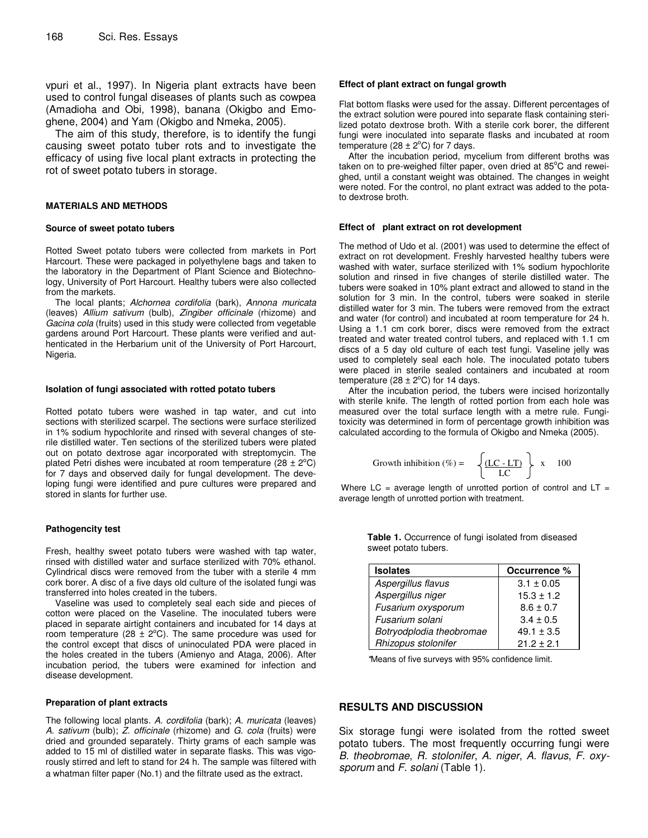vpuri et al., 1997). In Nigeria plant extracts have been used to control fungal diseases of plants such as cowpea (Amadioha and Obi, 1998), banana (Okigbo and Emoghene, 2004) and Yam (Okigbo and Nmeka, 2005).

The aim of this study, therefore, is to identify the fungi causing sweet potato tuber rots and to investigate the efficacy of using five local plant extracts in protecting the rot of sweet potato tubers in storage.

#### **MATERIALS AND METHODS**

#### **Source of sweet potato tubers**

Rotted Sweet potato tubers were collected from markets in Port Harcourt. These were packaged in polyethylene bags and taken to the laboratory in the Department of Plant Science and Biotechnology, University of Port Harcourt. Healthy tubers were also collected from the markets.

The local plants; *Alchornea cordifolia* (bark), *Annona muricata* (leaves) *Allium sativum* (bulb), *Zingiber officinale* (rhizome) and *Gacina cola* (fruits) used in this study were collected from vegetable gardens around Port Harcourt. These plants were verified and authenticated in the Herbarium unit of the University of Port Harcourt, Nigeria.

#### **Isolation of fungi associated with rotted potato tubers**

Rotted potato tubers were washed in tap water, and cut into sections with sterilized scarpel. The sections were surface sterilized in 1% sodium hypochlorite and rinsed with several changes of sterile distilled water. Ten sections of the sterilized tubers were plated out on potato dextrose agar incorporated with streptomycin. The plated Petri dishes were incubated at room temperature (28  $\pm$  2°C) for 7 days and observed daily for fungal development. The developing fungi were identified and pure cultures were prepared and stored in slants for further use.

#### **Pathogencity test**

Fresh, healthy sweet potato tubers were washed with tap water, rinsed with distilled water and surface sterilized with 70% ethanol. Cylindrical discs were removed from the tuber with a sterile 4 mm cork borer. A disc of a five days old culture of the isolated fungi was transferred into holes created in the tubers.

Vaseline was used to completely seal each side and pieces of cotton were placed on the Vaseline. The inoculated tubers were placed in separate airtight containers and incubated for 14 days at room temperature (28  $\pm$  2°C). The same procedure was used for the control except that discs of uninoculated PDA were placed in the holes created in the tubers (Amienyo and Ataga, 2006). After incubation period, the tubers were examined for infection and disease development.

#### **Preparation of plant extracts**

The following local plants. *A. cordifolia* (bark); *A. muricata* (leaves) *A. sativum* (bulb); *Z. officinale* (rhizome) and *G. cola* (fruits) were dried and grounded separately. Thirty grams of each sample was added to 15 ml of distilled water in separate flasks. This was vigorously stirred and left to stand for 24 h. The sample was filtered with a whatman filter paper (No.1) and the filtrate used as the extract.

#### **Effect of plant extract on fungal growth**

Flat bottom flasks were used for the assay. Different percentages of the extract solution were poured into separate flask containing sterilized potato dextrose broth. With a sterile cork borer, the different fungi were inoculated into separate flasks and incubated at room temperature (28  $\pm$  2 $^{\circ}$ C) for 7 days.

After the incubation period, mycelium from different broths was taken on to pre-weighed filter paper, oven dried at 85°C and reweighed, until a constant weight was obtained. The changes in weight were noted. For the control, no plant extract was added to the potato dextrose broth.

## **Effect of plant extract on rot development**

The method of Udo et al. (2001) was used to determine the effect of extract on rot development. Freshly harvested healthy tubers were washed with water, surface sterilized with 1% sodium hypochlorite solution and rinsed in five changes of sterile distilled water. The tubers were soaked in 10% plant extract and allowed to stand in the solution for 3 min. In the control, tubers were soaked in sterile distilled water for 3 min. The tubers were removed from the extract and water (for control) and incubated at room temperature for 24 h. Using a 1.1 cm cork borer, discs were removed from the extract treated and water treated control tubers, and replaced with 1.1 cm discs of a 5 day old culture of each test fungi. Vaseline jelly was used to completely seal each hole. The inoculated potato tubers were placed in sterile sealed containers and incubated at room temperature (28  $\pm$  2 $^{\circ}$ C) for 14 days.

After the incubation period, the tubers were incised horizontally with sterile knife. The length of rotted portion from each hole was measured over the total surface length with a metre rule. Fungitoxicity was determined in form of percentage growth inhibition was calculated according to the formula of Okigbo and Nmeka (2005).

Growth inhibition (%) = 
$$
\left\{ \frac{\text{(LC-LT)}}{\text{LC}} \right\} \times 100
$$

Where  $LC = average$  length of unrotted portion of control and  $LT =$ average length of unrotted portion with treatment.

| <b>Isolates</b>          | Occurrence %   |  |  |
|--------------------------|----------------|--|--|
| Aspergillus flavus       | $3.1 \pm 0.05$ |  |  |
| Aspergillus niger        | $15.3 \pm 1.2$ |  |  |
| Fusarium oxysporum       | $8.6 \pm 0.7$  |  |  |
| Fusarium solani          | $3.4 \pm 0.5$  |  |  |
| Botryodplodia theobromae | $49.1 \pm 3.5$ |  |  |
| Rhizopus stolonifer      | $21.2 + 2.1$   |  |  |

**Table 1.** Occurrence of fungi isolated from diseased sweet potato tubers.

*\**Means of five surveys with 95% confidence limit.

### **RESULTS AND DISCUSSION**

Six storage fungi were isolated from the rotted sweet potato tubers. The most frequently occurring fungi were *B. theobromae*, *R. stolonifer*, *A. niger*, *A. flavus*, *F. oxysporum* and *F. solani* (Table 1).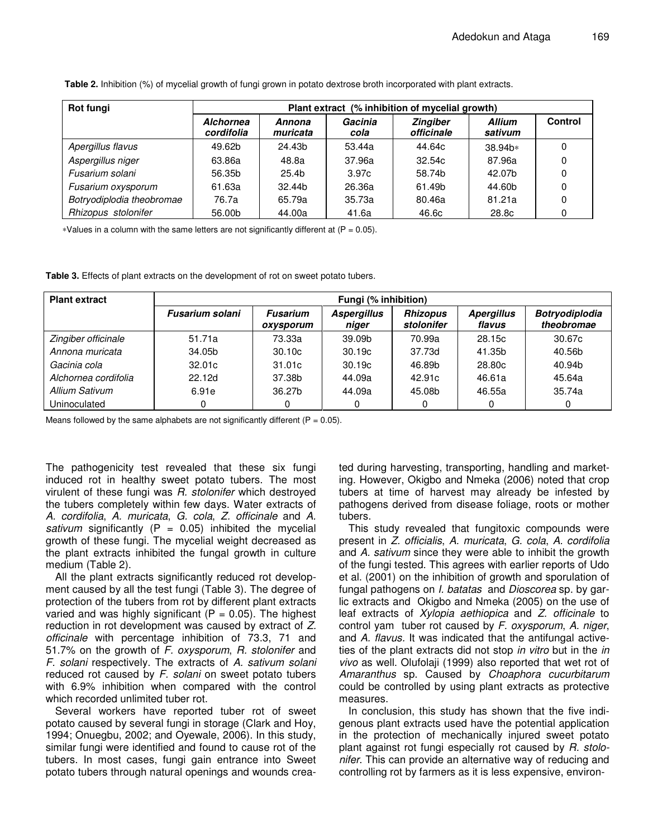| Rot fungi                 | Plant extract (% inhibition of mycelial growth) |                    |                 |                               |                          |         |  |
|---------------------------|-------------------------------------------------|--------------------|-----------------|-------------------------------|--------------------------|---------|--|
|                           | <b>Alchornea</b><br>cordifolia                  | Annona<br>muricata | Gacinia<br>cola | <b>Zingiber</b><br>officinale | <b>Allium</b><br>sativum | Control |  |
| Apergillus flavus         | 49.62b                                          | 24.43b             | 53.44a          | 44.64c                        | 38.94b*                  |         |  |
| Aspergillus niger         | 63.86a                                          | 48.8a              | 37.96a          | 32.54c                        | 87.96a                   |         |  |
| Fusarium solani           | 56.35b                                          | 25.4 <sub>b</sub>  | 3.97c           | 58.74b                        | 42.07b                   |         |  |
| Fusarium oxysporum        | 61.63a                                          | 32.44b             | 26.36a          | 61.49b                        | 44.60b                   |         |  |
| Botryodiplodia theobromae | 76.7a                                           | 65.79a             | 35.73a          | 80.46a                        | 81.21a                   |         |  |
| Rhizopus stolonifer       | 56.00b                                          | 44.00a             | 41.6a           | 46.6c                         | 28.8c                    |         |  |

**Table 2.** Inhibition (%) of mycelial growth of fungi grown in potato dextrose broth incorporated with plant extracts.

 $*$ Values in a column with the same letters are not significantly different at ( $P = 0.05$ ).

**Table 3.** Effects of plant extracts on the development of rot on sweet potato tubers.

| <b>Plant extract</b> | Fungi (% inhibition)   |                              |                             |                               |                             |                                     |  |
|----------------------|------------------------|------------------------------|-----------------------------|-------------------------------|-----------------------------|-------------------------------------|--|
|                      | <b>Fusarium solani</b> | <b>Fusarium</b><br>oxysporum | <b>Aspergillus</b><br>niger | <b>Rhizopus</b><br>stolonifer | <b>Apergillus</b><br>flavus | <b>Botryodiplodia</b><br>theobromae |  |
| Zingiber officinale  | 51.71a                 | 73.33a                       | 39.09b                      | 70.99a                        | 28.15c                      | 30.67c                              |  |
| Annona muricata      | 34.05b                 | 30.10c                       | 30.19 <sub>c</sub>          | 37.73d                        | 41.35b                      | 40.56b                              |  |
| Gacinia cola         | 32.01c                 | 31.01c                       | 30.19c                      | 46.89b                        | 28.80c                      | 40.94b                              |  |
| Alchornea cordifolia | 22.12d                 | 37.38b                       | 44.09a                      | 42.91c                        | 46.61a                      | 45.64a                              |  |
| Allium Sativum       | 6.91e                  | 36.27b                       | 44.09a                      | 45.08b                        | 46.55a                      | 35.74a                              |  |
| Uninoculated         |                        |                              |                             | 0                             |                             |                                     |  |

Means followed by the same alphabets are not significantly different ( $P = 0.05$ ).

The pathogenicity test revealed that these six fungi induced rot in healthy sweet potato tubers. The most virulent of these fungi was *R. stolonifer* which destroyed the tubers completely within few days. Water extracts of *A. cordifolia*, *A. muricata*, *G. cola*, *Z. officinale* and *A. sativum* significantly ( $P = 0.05$ ) inhibited the mycelial growth of these fungi. The mycelial weight decreased as the plant extracts inhibited the fungal growth in culture medium (Table 2).

All the plant extracts significantly reduced rot development caused by all the test fungi (Table 3). The degree of protection of the tubers from rot by different plant extracts varied and was highly significant ( $P = 0.05$ ). The highest reduction in rot development was caused by extract of *Z. officinale* with percentage inhibition of 73.3, 71 and 51.7% on the growth of *F. oxysporum*, *R. stolonifer* and *F. solani* respectively. The extracts of *A. sativum solani* reduced rot caused by *F. solani* on sweet potato tubers with 6.9% inhibition when compared with the control which recorded unlimited tuber rot.

Several workers have reported tuber rot of sweet potato caused by several fungi in storage (Clark and Hoy, 1994; Onuegbu, 2002; and Oyewale, 2006). In this study, similar fungi were identified and found to cause rot of the tubers. In most cases, fungi gain entrance into Sweet potato tubers through natural openings and wounds created during harvesting, transporting, handling and marketing. However, Okigbo and Nmeka (2006) noted that crop tubers at time of harvest may already be infested by pathogens derived from disease foliage, roots or mother tubers.

This study revealed that fungitoxic compounds were present in *Z. officialis*, *A. muricata*, *G. cola*, *A. cordifolia* and *A. sativum* since they were able to inhibit the growth of the fungi tested. This agrees with earlier reports of Udo et al. (2001) on the inhibition of growth and sporulation of fungal pathogens on *I. batatas* and *Dioscorea* sp. by garlic extracts and Okigbo and Nmeka (2005) on the use of leaf extracts of *Xylopia aethiopica* and *Z. officinale* to control yam tuber rot caused by *F. oxysporum*, *A. niger*, and *A. flavus.* It was indicated that the antifungal activeties of the plant extracts did not stop *in vitro* but in the *in vivo* as well. Olufolaji (1999) also reported that wet rot of *Amaranthus* sp. Caused by *Choaphora cucurbitarum* could be controlled by using plant extracts as protective measures.

In conclusion, this study has shown that the five indigenous plant extracts used have the potential application in the protection of mechanically injured sweet potato plant against rot fungi especially rot caused by *R. stolonifer*. This can provide an alternative way of reducing and controlling rot by farmers as it is less expensive, environ